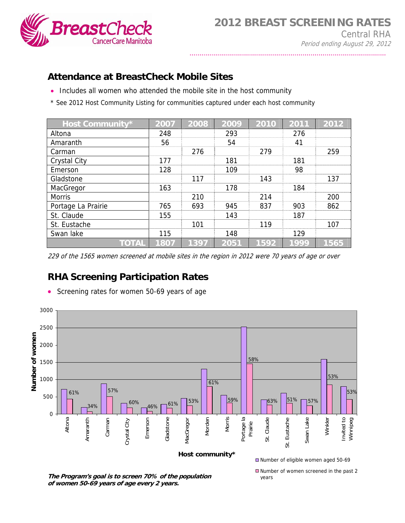

## **Attendance at BreastCheck Mobile Sites**

- Includes all women who attended the mobile site in the host community
- \* See 2012 Host Community Listing for communities captured under each host community

| <b>Host Community*</b> | 2007 | 2008 | 2009 | 2010 | 2011 | 2012 |
|------------------------|------|------|------|------|------|------|
| Altona                 | 248  |      | 293  |      | 276  |      |
| Amaranth               | 56   |      | 54   |      | 41   |      |
| Carman                 |      | 276  |      | 279  |      | 259  |
| <b>Crystal City</b>    | 177  |      | 181  |      | 181  |      |
| Emerson                | 128  |      | 109  |      | 98   |      |
| Gladstone              |      | 117  |      | 143  |      | 137  |
| MacGregor              | 163  |      | 178  |      | 184  |      |
| <b>Morris</b>          |      | 210  |      | 214  |      | 200  |
| Portage La Prairie     | 765  | 693  | 945  | 837  | 903  | 862  |
| St. Claude             | 155  |      | 143  |      | 187  |      |
| St. Eustache           |      | 101  |      | 119  |      | 107  |
| Swan lake              | 115  |      | 148  |      | 129  |      |
| <b>TOTAL</b>           | 1807 | 1397 | 2051 | 1592 | 1999 | 1565 |

229 of the 1565 women screened at mobile sites in the region in 2012 were 70 years of age or over

## **RHA Screening Participation Rates**



• Screening rates for women 50-69 years of age